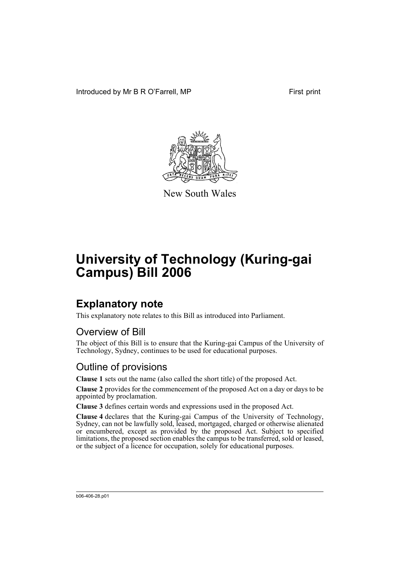Introduced by Mr B R O'Farrell, MP First print



New South Wales

# **University of Technology (Kuring-gai Campus) Bill 2006**

## **Explanatory note**

This explanatory note relates to this Bill as introduced into Parliament.

### Overview of Bill

The object of this Bill is to ensure that the Kuring-gai Campus of the University of Technology, Sydney, continues to be used for educational purposes.

#### Outline of provisions

**Clause 1** sets out the name (also called the short title) of the proposed Act.

**Clause 2** provides for the commencement of the proposed Act on a day or days to be appointed by proclamation.

**Clause 3** defines certain words and expressions used in the proposed Act.

**Clause 4** declares that the Kuring-gai Campus of the University of Technology, Sydney, can not be lawfully sold, leased, mortgaged, charged or otherwise alienated or encumbered, except as provided by the proposed Act. Subject to specified limitations, the proposed section enables the campus to be transferred, sold or leased, or the subject of a licence for occupation, solely for educational purposes.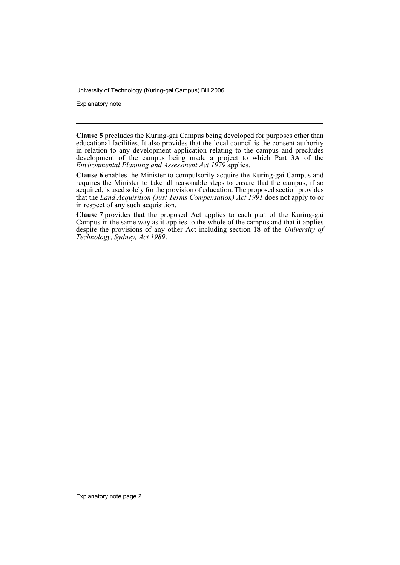University of Technology (Kuring-gai Campus) Bill 2006

Explanatory note

**Clause 5** precludes the Kuring-gai Campus being developed for purposes other than educational facilities. It also provides that the local council is the consent authority in relation to any development application relating to the campus and precludes development of the campus being made a project to which Part 3A of the *Environmental Planning and Assessment Act 1979* applies.

**Clause 6** enables the Minister to compulsorily acquire the Kuring-gai Campus and requires the Minister to take all reasonable steps to ensure that the campus, if so acquired, is used solely for the provision of education. The proposed section provides that the *Land Acquisition (Just Terms Compensation) Act 1991* does not apply to or in respect of any such acquisition.

**Clause 7** provides that the proposed Act applies to each part of the Kuring-gai Campus in the same way as it applies to the whole of the campus and that it applies despite the provisions of any other Act including section 18 of the *University of Technology, Sydney, Act 1989*.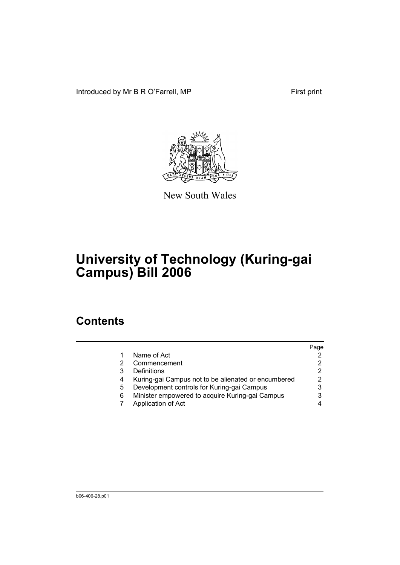Introduced by Mr B R O'Farrell, MP First print



New South Wales

# **University of Technology (Kuring-gai Campus) Bill 2006**

## **Contents**

|                                                     | Page |
|-----------------------------------------------------|------|
| Name of Act                                         |      |
| Commencement                                        |      |
| Definitions                                         | 2    |
| Kuring-gai Campus not to be alienated or encumbered |      |
| Development controls for Kuring-gai Campus          |      |
| Minister empowered to acquire Kuring-gai Campus     |      |
| Application of Act                                  |      |
|                                                     |      |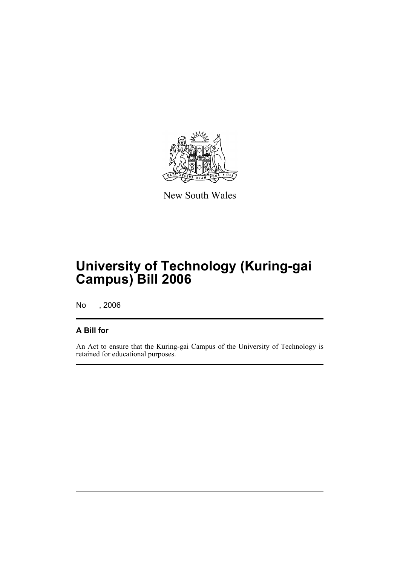

New South Wales

# **University of Technology (Kuring-gai Campus) Bill 2006**

No , 2006

#### **A Bill for**

An Act to ensure that the Kuring-gai Campus of the University of Technology is retained for educational purposes.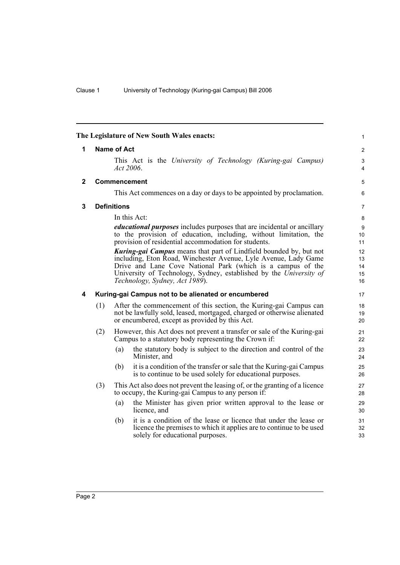<span id="page-5-3"></span><span id="page-5-2"></span><span id="page-5-1"></span><span id="page-5-0"></span>

| The Legislature of New South Wales enacts: |                    |     |                                                                                                                                                                                                                                                                                                                     |                            |  |
|--------------------------------------------|--------------------|-----|---------------------------------------------------------------------------------------------------------------------------------------------------------------------------------------------------------------------------------------------------------------------------------------------------------------------|----------------------------|--|
| $\mathbf{1}$                               | <b>Name of Act</b> |     |                                                                                                                                                                                                                                                                                                                     |                            |  |
|                                            |                    |     | This Act is the University of Technology (Kuring-gai Campus)<br>Act $2006$ .                                                                                                                                                                                                                                        | 3<br>4                     |  |
| $\mathbf{2}$                               |                    |     | <b>Commencement</b>                                                                                                                                                                                                                                                                                                 | 5                          |  |
|                                            |                    |     | This Act commences on a day or days to be appointed by proclamation.                                                                                                                                                                                                                                                | 6                          |  |
| 3                                          | <b>Definitions</b> |     |                                                                                                                                                                                                                                                                                                                     |                            |  |
|                                            |                    |     | In this Act:                                                                                                                                                                                                                                                                                                        | 8                          |  |
|                                            |                    |     | <i>educational purposes</i> includes purposes that are incidental or ancillary<br>to the provision of education, including, without limitation, the<br>provision of residential accommodation for students.                                                                                                         | 9<br>10<br>11              |  |
|                                            |                    |     | <b>Kuring-gai Campus</b> means that part of Lindfield bounded by, but not<br>including, Eton Road, Winchester Avenue, Lyle Avenue, Lady Game<br>Drive and Lane Cove National Park (which is a campus of the<br>University of Technology, Sydney, established by the University of<br>Technology, Sydney, Act 1989). | 12<br>13<br>14<br>15<br>16 |  |
| 4                                          |                    |     | Kuring-gai Campus not to be alienated or encumbered                                                                                                                                                                                                                                                                 | 17                         |  |
|                                            | (1)                |     | After the commencement of this section, the Kuring-gai Campus can<br>not be lawfully sold, leased, mortgaged, charged or otherwise alienated<br>or encumbered, except as provided by this Act.                                                                                                                      | 18<br>19<br>20             |  |
|                                            | (2)                |     | However, this Act does not prevent a transfer or sale of the Kuring-gain<br>Campus to a statutory body representing the Crown if:                                                                                                                                                                                   | 21<br>22                   |  |
|                                            |                    | (a) | the statutory body is subject to the direction and control of the<br>Minister, and                                                                                                                                                                                                                                  | 23<br>24                   |  |
|                                            |                    | (b) | it is a condition of the transfer or sale that the Kuring-gai Campus<br>is to continue to be used solely for educational purposes.                                                                                                                                                                                  | 25<br>26                   |  |
|                                            | (3)                |     | This Act also does not prevent the leasing of, or the granting of a licence<br>to occupy, the Kuring-gai Campus to any person if:                                                                                                                                                                                   | 27<br>28                   |  |
|                                            |                    | (a) | the Minister has given prior written approval to the lease or<br>licence, and                                                                                                                                                                                                                                       | 29<br>30                   |  |
|                                            |                    | (b) | it is a condition of the lease or licence that under the lease or<br>licence the premises to which it applies are to continue to be used<br>solely for educational purposes.                                                                                                                                        | 31<br>32<br>33             |  |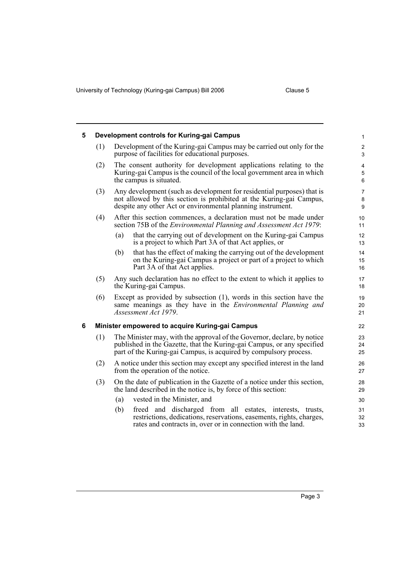University of Technology (Kuring-gai Campus) Bill 2006 Clause 5

<span id="page-6-1"></span><span id="page-6-0"></span>

| 5 | Development controls for Kuring-gai Campus      |                                                                                                                                                                                                                        |                                   |  |  |  |
|---|-------------------------------------------------|------------------------------------------------------------------------------------------------------------------------------------------------------------------------------------------------------------------------|-----------------------------------|--|--|--|
|   | (1)                                             | Development of the Kuring-gai Campus may be carried out only for the<br>purpose of facilities for educational purposes.                                                                                                |                                   |  |  |  |
|   | (2)                                             | The consent authority for development applications relating to the<br>Kuring-gai Campus is the council of the local government area in which<br>the campus is situated.                                                | $\overline{\mathbf{4}}$<br>5<br>6 |  |  |  |
|   | (3)                                             | Any development (such as development for residential purposes) that is<br>not allowed by this section is prohibited at the Kuring-gai Campus,<br>despite any other Act or environmental planning instrument.           |                                   |  |  |  |
|   | (4)                                             | After this section commences, a declaration must not be made under<br>section 75B of the <i>Environmental Planning and Assessment Act 1979</i> :                                                                       | 10<br>11                          |  |  |  |
|   |                                                 | that the carrying out of development on the Kuring-gai Campus<br>(a)<br>is a project to which Part 3A of that Act applies, or                                                                                          | 12<br>13                          |  |  |  |
|   |                                                 | that has the effect of making the carrying out of the development<br>(b)<br>on the Kuring-gai Campus a project or part of a project to which<br>Part 3A of that Act applies.                                           | 14<br>15<br>16                    |  |  |  |
|   | (5)                                             | Any such declaration has no effect to the extent to which it applies to<br>the Kuring-gai Campus.                                                                                                                      |                                   |  |  |  |
|   | (6)                                             | Except as provided by subsection $(1)$ , words in this section have the<br>same meanings as they have in the <i>Environmental Planning and</i><br>Assessment Act 1979.                                                 |                                   |  |  |  |
| 6 | Minister empowered to acquire Kuring-gai Campus |                                                                                                                                                                                                                        |                                   |  |  |  |
|   | (1)                                             | The Minister may, with the approval of the Governor, declare, by notice<br>published in the Gazette, that the Kuring-gai Campus, or any specified<br>part of the Kuring-gai Campus, is acquired by compulsory process. |                                   |  |  |  |
|   | (2)                                             | A notice under this section may except any specified interest in the land<br>from the operation of the notice.                                                                                                         |                                   |  |  |  |
|   | (3)                                             | On the date of publication in the Gazette of a notice under this section,<br>the land described in the notice is, by force of this section:                                                                            | 28<br>29                          |  |  |  |
|   |                                                 | vested in the Minister, and<br>(a)                                                                                                                                                                                     | 30                                |  |  |  |
|   |                                                 | freed and discharged from all estates, interests, trusts,<br>(b)<br>restrictions, dedications, reservations, easements, rights, charges,<br>rates and contracts in, over or in connection with the land.               | 31<br>32<br>33                    |  |  |  |